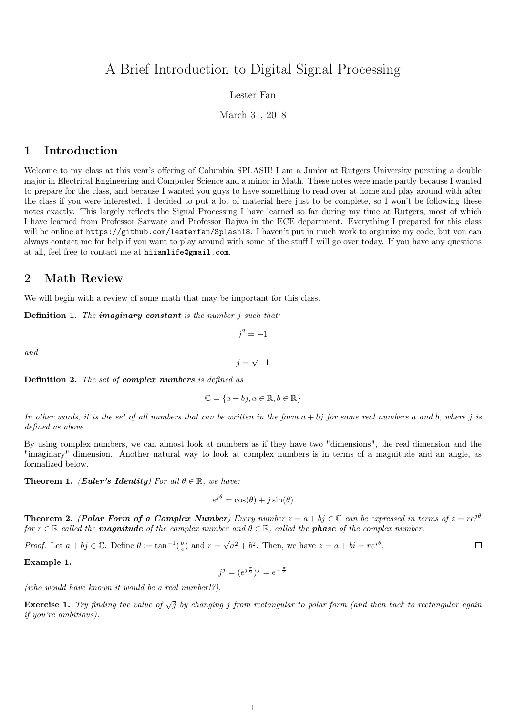# A Brief Introduction to Digital Signal Processing

### Lester Fan

### March 31, 2018

### 1 Introduction

Welcome to my class at this year's offering of Columbia SPLASH! I am a Junior at Rutgers University pursuing a double major in Electrical Engineering and Computer Science and a minor in Math. These notes were made partly because I wanted to prepare for the class, and because I wanted you guys to have something to read over at home and play around with after the class if you were interested. I decided to put a lot of material here just to be complete, so I won't be following these notes exactly. This largely reflects the Signal Processing I have learned so far during my time at Rutgers, most of which I have learned from Professor Sarwate and Professor Bajwa in the ECE department. Everything I prepared for this class will be online at https://github.com/lesterfan/Splash18. I haven't put in much work to organize my code, but you can always contact me for help if you want to play around with some of the stuff I will go over today. If you have any questions at all, feel free to contact me at hiiamlife@gmail.com.

## 2 Math Review

We will begin with a review of some math that may be important for this class.

**Definition 1.** The imaginary constant is the number  $j$  such that:

and

$$
j = \sqrt{-1}
$$

 $j^2 = -1$ 

Definition 2. The set of complex numbers is defined as

$$
\mathbb{C} = \{a + bj, a \in \mathbb{R}, b \in \mathbb{R}\}
$$

In other words, it is the set of all numbers that can be written in the form  $a + bj$  for some real numbers a and b, where j is defined as above.

By using complex numbers, we can almost look at numbers as if they have two "dimensions", the real dimension and the "imaginary" dimension. Another natural way to look at complex numbers is in terms of a magnitude and an angle, as formalized below.

**Theorem 1.** (Euler's Identity) For all  $\theta \in \mathbb{R}$ , we have:

$$
e^{j\theta} = \cos(\theta) + j\sin(\theta)
$$

**Theorem 2.** (Polar Form of a Complex Number) Every number  $z = a + bj \in \mathbb{C}$  can be expressed in terms of  $z = re^{j\theta}$ for  $r \in \mathbb{R}$  called the **magnitude** of the complex number and  $\theta \in \mathbb{R}$ , called the **phase** of the complex number.

√ *Proof.* Let  $a + bj \in \mathbb{C}$ . Define  $\theta := \tan^{-1}(\frac{b}{a})$  and  $r =$  $a^2 + b^2$ . Then, we have  $z = a + bi = re^{j\theta}$ .  $\Box$ 

Example 1.

$$
j^j = (e^{j\frac{\pi}{2}})^j = e^{-\frac{\pi}{2}}
$$

(who would have known it would be a real number!?).

**Exercise 1.** Try finding the value of  $\sqrt{j}$  by changing j from rectangular to polar form (and then back to rectangular again if you're ambitious).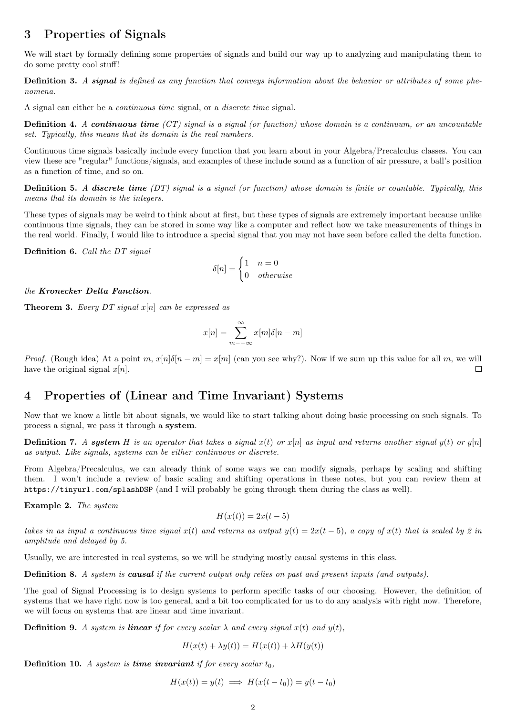# 3 Properties of Signals

We will start by formally defining some properties of signals and build our way up to analyzing and manipulating them to do some pretty cool stuff!

Definition 3. A signal is defined as any function that conveys information about the behavior or attributes of some phenomena.

A signal can either be a continuous time signal, or a discrete time signal.

**Definition 4.** A continuous time  $(T)$  signal is a signal (or function) whose domain is a continuum, or an uncountable set. Typically, this means that its domain is the real numbers.

Continuous time signals basically include every function that you learn about in your Algebra/Precalculus classes. You can view these are "regular" functions/signals, and examples of these include sound as a function of air pressure, a ball's position as a function of time, and so on.

**Definition 5.** A discrete time  $(DT)$  signal is a signal (or function) whose domain is finite or countable. Typically, this means that its domain is the integers.

These types of signals may be weird to think about at first, but these types of signals are extremely important because unlike continuous time signals, they can be stored in some way like a computer and reflect how we take measurements of things in the real world. Finally, I would like to introduce a special signal that you may not have seen before called the delta function.

Definition 6. Call the DT signal

$$
\delta[n] = \begin{cases} 1 & n = 0 \\ 0 & otherwise \end{cases}
$$

#### the Kronecker Delta Function.

**Theorem 3.** Every DT signal  $x[n]$  can be expressed as

$$
x[n] = \sum_{m = -\infty}^{\infty} x[m]\delta[n - m]
$$

*Proof.* (Rough idea) At a point m,  $x[n]\delta[n-m] = x[m]$  (can you see why?). Now if we sum up this value for all m, we will have the original signal  $x[n]$ .  $\Box$ 

# 4 Properties of (Linear and Time Invariant) Systems

Now that we know a little bit about signals, we would like to start talking about doing basic processing on such signals. To process a signal, we pass it through a system.

**Definition 7.** A system H is an operator that takes a signal  $x(t)$  or  $x[n]$  as input and returns another signal  $y(t)$  or  $y[n]$ as output. Like signals, systems can be either continuous or discrete.

From Algebra/Precalculus, we can already think of some ways we can modify signals, perhaps by scaling and shifting them. I won't include a review of basic scaling and shifting operations in these notes, but you can review them at https://tinyurl.com/splashDSP (and I will probably be going through them during the class as well).

Example 2. The system

$$
H(x(t)) = 2x(t-5)
$$

takes in as input a continuous time signal  $x(t)$  and returns as output  $y(t) = 2x(t-5)$ , a copy of  $x(t)$  that is scaled by 2 in amplitude and delayed by 5.

Usually, we are interested in real systems, so we will be studying mostly causal systems in this class.

Definition 8. A system is causal if the current output only relies on past and present inputs (and outputs).

The goal of Signal Processing is to design systems to perform specific tasks of our choosing. However, the definition of systems that we have right now is too general, and a bit too complicated for us to do any analysis with right now. Therefore, we will focus on systems that are linear and time invariant.

**Definition 9.** A system is **linear** if for every scalar  $\lambda$  and every signal  $x(t)$  and  $y(t)$ .

$$
H(x(t) + \lambda y(t)) = H(x(t)) + \lambda H(y(t))
$$

**Definition 10.** A system is **time invariant** if for every scalar  $t_0$ ,

$$
H(x(t)) = y(t) \implies H(x(t - t_0)) = y(t - t_0)
$$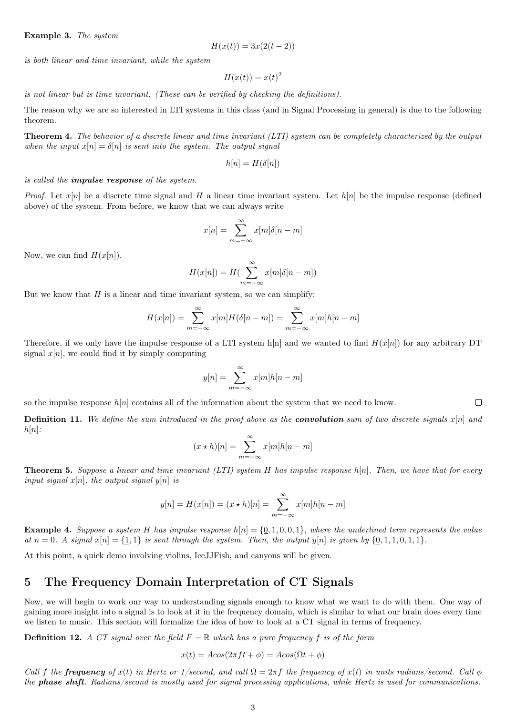#### Example 3. The system

$$
H(x(t)) = 3x(2(t-2))
$$

is both linear and time invariant, while the system

$$
H(x(t)) = x(t)^2
$$

is not linear but is time invariant. (These can be verified by checking the definitions).

The reason why we are so interested in LTI systems in this class (and in Signal Processing in general) is due to the following theorem.

Theorem 4. The behavior of a discrete linear and time invariant (LTI) system can be completely characterized by the output when the input  $x[n] = \delta[n]$  is sent into the system. The output signal

$$
h[n] = H(\delta[n])
$$

is called the impulse response of the system.

*Proof.* Let  $x[n]$  be a discrete time signal and H a linear time invariant system. Let  $h[n]$  be the impulse response (defined above) of the system. From before, we know that we can always write

$$
x[n] = \sum_{m = -\infty}^{\infty} x[m]\delta[n - m]
$$

Now, we can find  $H(x[n])$ .

$$
H(x[n]) = H\left(\sum_{m=-\infty}^{\infty} x[m]\delta[n-m]\right)
$$

But we know that  $H$  is a linear and time invariant system, so we can simplify:

$$
H(x[n]) = \sum_{m=-\infty}^{\infty} x[m]H(\delta[n-m]) = \sum_{m=-\infty}^{\infty} x[m]h[n-m]
$$

Therefore, if we only have the impulse response of a LTI system h[n] and we wanted to find  $H(x[n])$  for any arbitrary DT signal  $x[n]$ , we could find it by simply computing

$$
y[n] = \sum_{m = -\infty}^{\infty} x[m]h[n-m]
$$

so the impulse response  $h[n]$  contains all of the information about the system that we need to know.

**Definition 11.** We define the sum introduced in the proof above as the **convolution** sum of two discrete signals  $x[n]$  and  $h[n]$ :

 $\Box$ 

$$
(x * h)[n] = \sum_{m = -\infty}^{\infty} x[m]h[n-m]
$$

**Theorem 5.** Suppose a linear and time invariant  $(LTI)$  system H has impulse response  $h[n]$ . Then, we have that for every input signal  $x[n]$ , the output signal  $y[n]$  is

$$
y[n] = H(x[n]) = (x * h)[n] = \sum_{m=-\infty}^{\infty} x[m]h[n-m]
$$

**Example 4.** Suppose a system H has impulse response  $h[n] = \{0, 1, 0, 0, 1\}$ , where the underlined term represents the value at  $n = 0$ . A signal  $x[n] = \{1, 1\}$  is sent through the system. Then, the output  $y[n]$  is given by  $\{0, 1, 1, 0, 1, 1\}$ .

At this point, a quick demo involving violins, IceJJFish, and canyons will be given.

# 5 The Frequency Domain Interpretation of CT Signals

Now, we will begin to work our way to understanding signals enough to know what we want to do with them. One way of gaining more insight into a signal is to look at it in the frequency domain, which is similar to what our brain does every time we listen to music. This section will formalize the idea of how to look at a CT signal in terms of frequency.

**Definition 12.** A CT signal over the field  $F = \mathbb{R}$  which has a pure frequency f is of the form

$$
x(t) = A\cos(2\pi ft + \phi) = A\cos(\Omega t + \phi)
$$

Call f the **frequency** of  $x(t)$  in Hertz or 1/second, and call  $\Omega = 2\pi f$  the frequency of  $x(t)$  in units radians/second. Call  $\phi$ the **phase shift**. Radians/second is mostly used for signal processing applications, while Hertz is used for communications.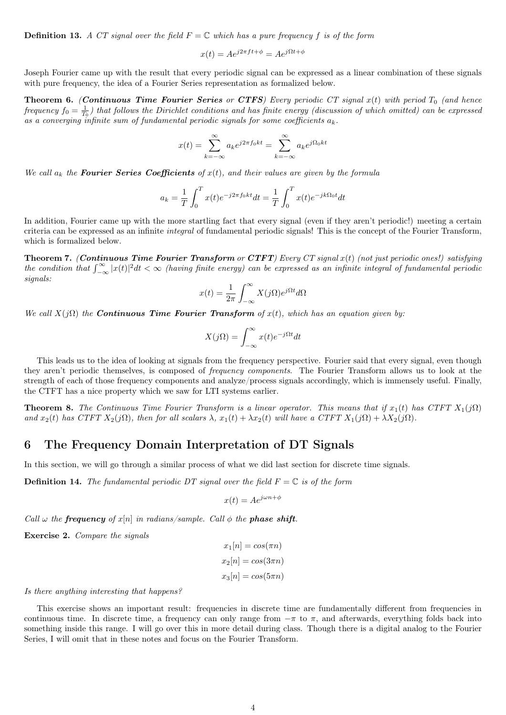**Definition 13.** A CT signal over the field  $F = \mathbb{C}$  which has a pure frequency f is of the form

$$
x(t) = Ae^{j2\pi ft + \phi} = Ae^{j\Omega t + \phi}
$$

Joseph Fourier came up with the result that every periodic signal can be expressed as a linear combination of these signals with pure frequency, the idea of a Fourier Series representation as formalized below.

**Theorem 6.** (Continuous Time Fourier Series or CTFS) Every periodic CT signal  $x(t)$  with period  $T_0$  (and hence frequency  $f_0 = \frac{1}{T_0}$ ) that follows the Dirichlet conditions and has finite energy (discussion of which omitted) can be expressed as a converging infinite sum of fundamental periodic signals for some coefficients  $a_k$ .

$$
x(t) = \sum_{k=-\infty}^{\infty} a_k e^{j2\pi f_0 kt} = \sum_{k=-\infty}^{\infty} a_k e^{j\Omega_0 kt}
$$

We call  $a_k$  the **Fourier Series Coefficients** of  $x(t)$ , and their values are given by the formula

$$
a_k = \frac{1}{T} \int_0^T x(t)e^{-j2\pi f_0kt}dt = \frac{1}{T} \int_0^T x(t)e^{-jk\Omega_0t}dt
$$

In addition, Fourier came up with the more startling fact that every signal (even if they aren't periodic!) meeting a certain criteria can be expressed as an infinite integral of fundamental periodic signals! This is the concept of the Fourier Transform, which is formalized below.

**Theorem 7.** (Continuous Time Fourier Transform or CTFT) Every CT signal  $x(t)$  (not just periodic ones!) satisfying the condition that  $\int_{-\infty}^{\infty}|x(t)|^2dt < \infty$  (having finite energy) can be expressed as an infinite integral of fundamental periodic signals:

$$
x(t) = \frac{1}{2\pi} \int_{-\infty}^{\infty} X(j\Omega) e^{j\Omega t} d\Omega
$$

We call  $X(j\Omega)$  the **Continuous Time Fourier Transform** of  $x(t)$ , which has an equation given by:

$$
X(j\Omega) = \int_{-\infty}^{\infty} x(t)e^{-j\Omega t}dt
$$

This leads us to the idea of looking at signals from the frequency perspective. Fourier said that every signal, even though they aren't periodic themselves, is composed of frequency components. The Fourier Transform allows us to look at the strength of each of those frequency components and analyze/process signals accordingly, which is immensely useful. Finally, the CTFT has a nice property which we saw for LTI systems earlier.

**Theorem 8.** The Continuous Time Fourier Transform is a linear operator. This means that if  $x_1(t)$  has CTFT  $X_1(j\Omega)$ and  $x_2(t)$  has CTFT  $X_2(j\Omega)$ , then for all scalars  $\lambda$ ,  $x_1(t) + \lambda x_2(t)$  will have a CTFT  $X_1(j\Omega) + \lambda X_2(j\Omega)$ .

### 6 The Frequency Domain Interpretation of DT Signals

In this section, we will go through a similar process of what we did last section for discrete time signals.

**Definition 14.** The fundamental periodic DT signal over the field  $F = \mathbb{C}$  is of the form

$$
x(t) = Ae^{j\omega n + \phi}
$$

Call  $\omega$  the **frequency** of  $x[n]$  in radians/sample. Call  $\phi$  the **phase shift**.

Exercise 2. Compare the signals

$$
x_1[n] = \cos(\pi n)
$$

$$
x_2[n] = \cos(3\pi n)
$$

$$
x_3[n] = \cos(5\pi n)
$$

#### Is there anything interesting that happens?

This exercise shows an important result: frequencies in discrete time are fundamentally different from frequencies in continuous time. In discrete time, a frequency can only range from  $-\pi$  to  $\pi$ , and afterwards, everything folds back into something inside this range. I will go over this in more detail during class. Though there is a digital analog to the Fourier Series, I will omit that in these notes and focus on the Fourier Transform.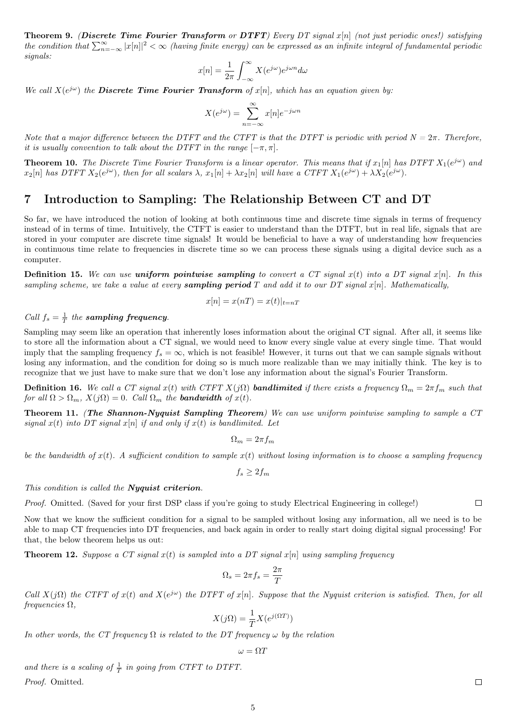Theorem 9. (Discrete Time Fourier Transform or DTFT) Every DT signal x[n] (not just periodic ones!) satisfying the condition that  $\sum_{n=-\infty}^{\infty}|x[n]|^2<\infty$  (having finite energy) can be expressed as an infinite integral of fundamental periodic signals:

$$
x[n] = \frac{1}{2\pi} \int_{-\infty}^{\infty} X(e^{j\omega}) e^{j\omega n} d\omega
$$

We call  $X(e^{j\omega})$  the **Discrete Time Fourier Transform** of  $x[n]$ , which has an equation given by:

$$
X(e^{j\omega}) = \sum_{n=-\infty}^{\infty} x[n]e^{-j\omega n}
$$

Note that a major difference between the DTFT and the CTFT is that the DTFT is periodic with period  $N = 2\pi$ . Therefore, it is usually convention to talk about the DTFT in the range  $[-\pi, \pi]$ .

**Theorem 10.** The Discrete Time Fourier Transform is a linear operator. This means that if  $x_1[n]$  has DTFT  $X_1(e^{j\omega})$  and  $x_2[n]$  has DTFT  $X_2(e^{j\omega})$ , then for all scalars  $\lambda$ ,  $x_1[n] + \lambda x_2[n]$  will have a CTFT  $X_1(e^{j\omega}) + \lambda X_2(e^{j\omega})$ .

### 7 Introduction to Sampling: The Relationship Between CT and DT

So far, we have introduced the notion of looking at both continuous time and discrete time signals in terms of frequency instead of in terms of time. Intuitively, the CTFT is easier to understand than the DTFT, but in real life, signals that are stored in your computer are discrete time signals! It would be beneficial to have a way of understanding how frequencies in continuous time relate to frequencies in discrete time so we can process these signals using a digital device such as a computer.

**Definition 15.** We can use uniform pointwise sampling to convert a CT signal  $x(t)$  into a DT signal  $x[n]$ . In this sampling scheme, we take a value at every **sampling period**  $T$  and add it to our  $DT$  signal  $x[n]$ . Mathematically,

$$
x[n] = x(nT) = x(t)|_{t=nT}
$$

# Call  $f_s = \frac{1}{T}$  the sampling frequency.

Sampling may seem like an operation that inherently loses information about the original CT signal. After all, it seems like to store all the information about a CT signal, we would need to know every single value at every single time. That would imply that the sampling frequency  $f_s = \infty$ , which is not feasible! However, it turns out that we can sample signals without losing any information, and the condition for doing so is much more realizable than we may initially think. The key is to recognize that we just have to make sure that we don't lose any information about the signal's Fourier Transform.

**Definition 16.** We call a CT signal x(t) with CTFT  $X(j\Omega)$  **bandlimited** if there exists a frequency  $\Omega_m = 2\pi f_m$  such that for all  $\Omega > \Omega_m$ ,  $X(j\Omega) = 0$ . Call  $\Omega_m$  the **bandwidth** of  $x(t)$ .

Theorem 11. (The Shannon-Nyquist Sampling Theorem) We can use uniform pointwise sampling to sample a CT signal  $x(t)$  into DT signal  $x[n]$  if and only if  $x(t)$  is bandlimited. Let

$$
\Omega_m = 2\pi f_m
$$

be the bandwidth of  $x(t)$ . A sufficient condition to sample  $x(t)$  without losing information is to choose a sampling frequency

$$
f_s \ge 2f_m
$$

#### This condition is called the **Nyquist criterion**.

Proof. Omitted. (Saved for your first DSP class if you're going to study Electrical Engineering in college!)

Now that we know the sufficient condition for a signal to be sampled without losing any information, all we need is to be able to map CT frequencies into DT frequencies, and back again in order to really start doing digital signal processing! For that, the below theorem helps us out:

**Theorem 12.** Suppose a CT signal  $x(t)$  is sampled into a DT signal  $x[n]$  using sampling frequency

$$
\Omega_s = 2\pi f_s = \frac{2\pi}{T}
$$

Call  $X(j\Omega)$  the CTFT of  $x(t)$  and  $X(e^{j\omega})$  the DTFT of  $x[n]$ . Suppose that the Nyquist criterion is satisfied. Then, for all  $frequencies \Omega$ ,

$$
X(j\Omega) = \frac{1}{T}X(e^{j(\Omega T)})
$$

In other words, the CT frequency  $\Omega$  is related to the DT frequency  $\omega$  by the relation

$$
\omega=\Omega T
$$

and there is a scaling of  $\frac{1}{T}$  in going from CTFT to DTFT.

Proof. Omitted.

 $\Box$ 

 $\Box$